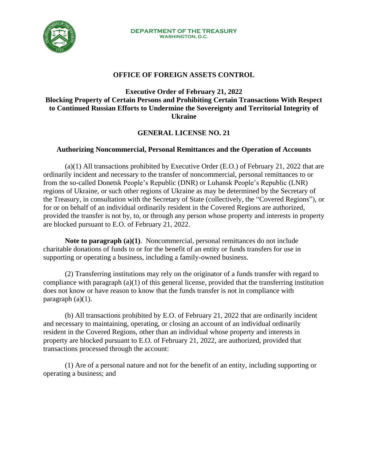

## **OFFICE OF FOREIGN ASSETS CONTROL**

## **Executive Order of February 21, 2022 Blocking Property of Certain Persons and Prohibiting Certain Transactions With Respect to Continued Russian Efforts to Undermine the Sovereignty and Territorial Integrity of Ukraine**

## **GENERAL LICENSE NO. 21**

## **Authorizing Noncommercial, Personal Remittances and the Operation of Accounts**

(a)(1) All transactions prohibited by Executive Order (E.O.) of February 21, 2022 that are ordinarily incident and necessary to the transfer of noncommercial, personal remittances to or from the so-called Donetsk People's Republic (DNR) or Luhansk People's Republic (LNR) regions of Ukraine, or such other regions of Ukraine as may be determined by the Secretary of the Treasury, in consultation with the Secretary of State (collectively, the "Covered Regions"), or for or on behalf of an individual ordinarily resident in the Covered Regions are authorized, provided the transfer is not by, to, or through any person whose property and interests in property are blocked pursuant to E.O. of February 21, 2022.

**Note to paragraph (a)(1)**. Noncommercial, personal remittances do not include charitable donations of funds to or for the benefit of an entity or funds transfers for use in supporting or operating a business, including a family-owned business.

(2) Transferring institutions may rely on the originator of a funds transfer with regard to compliance with paragraph (a)(1) of this general license, provided that the transferring institution does not know or have reason to know that the funds transfer is not in compliance with paragraph  $(a)(1)$ .

(b) All transactions prohibited by E.O. of February 21, 2022 that are ordinarily incident and necessary to maintaining, operating, or closing an account of an individual ordinarily resident in the Covered Regions, other than an individual whose property and interests in property are blocked pursuant to E.O. of February 21, 2022, are authorized, provided that transactions processed through the account:

(1) Are of a personal nature and not for the benefit of an entity, including supporting or operating a business; and